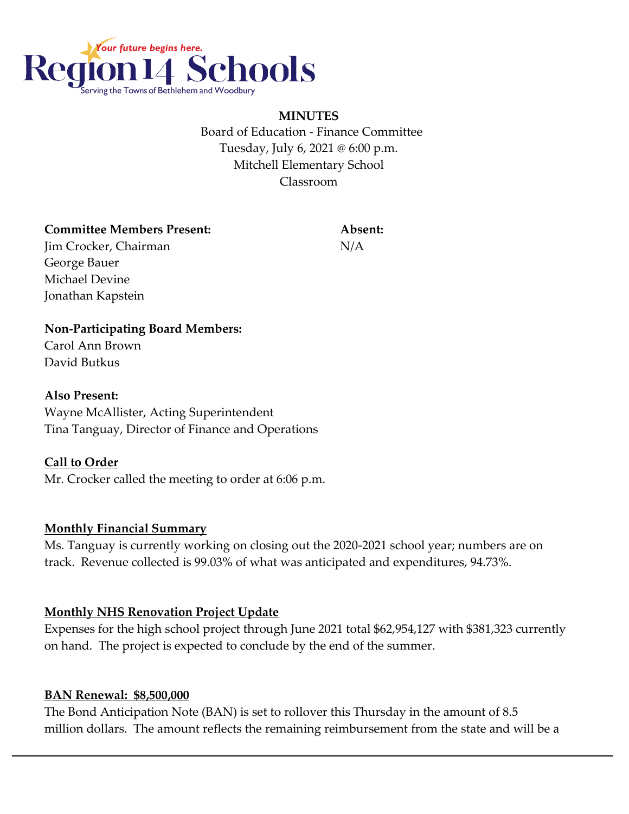

**MINUTES** Board of Education - Finance Committee Tuesday, July 6, 2021 @ 6:00 p.m. Mitchell Elementary School Classroom

#### **Committee Members Present: Absent:**

Jim Crocker, Chairman N/A George Bauer Michael Devine Jonathan Kapstein

## **Non-Participating Board Members:**

Carol Ann Brown David Butkus

### **Also Present:**

Wayne McAllister, Acting Superintendent Tina Tanguay, Director of Finance and Operations

### **Call to Order**

Mr. Crocker called the meeting to order at 6:06 p.m.

### **Monthly Financial Summary**

Ms. Tanguay is currently working on closing out the 2020-2021 school year; numbers are on track. Revenue collected is 99.03% of what was anticipated and expenditures, 94.73%.

### **Monthly NHS Renovation Project Update**

Expenses for the high school project through June 2021 total \$62,954,127 with \$381,323 currently on hand. The project is expected to conclude by the end of the summer.

### **BAN Renewal: \$8,500,000**

The Bond Anticipation Note (BAN) is set to rollover this Thursday in the amount of 8.5 million dollars. The amount reflects the remaining reimbursement from the state and will be a